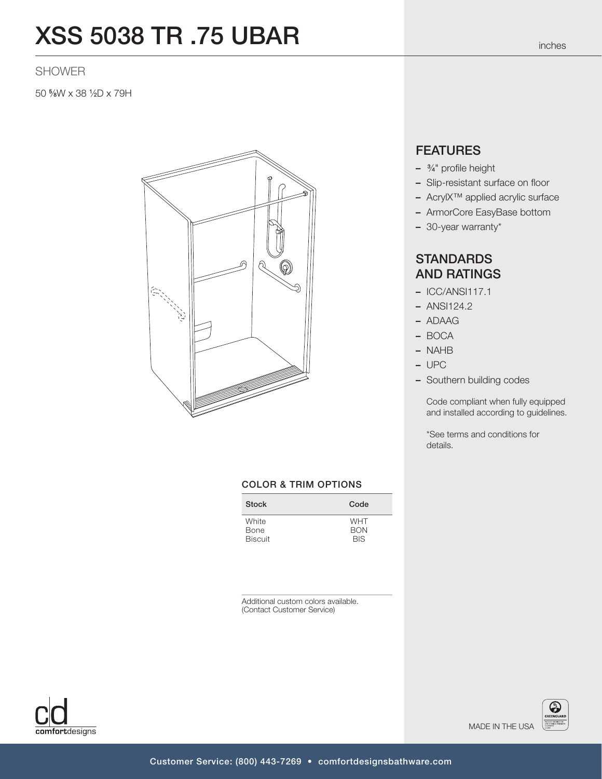# XSS 5038 TR .75 UBAR

### SHOWER

50 5 ⁄8W x 38 1 ⁄2D x 79H



#### COLOR & TRIM OPTIONS

| <b>Stock</b>   | Code       |
|----------------|------------|
| White          | <b>WHT</b> |
| Bone           | <b>BON</b> |
| <b>Biscuit</b> | <b>BIS</b> |

Additional custom colors available. (Contact Customer Service)



## **FEATURES**

- <sup>3</sup> ⁄4" profile height
- Slip-resistant surface on floor
- AcrylX™ applied acrylic surface
- ArmorCore EasyBase bottom
- 30-year warranty\*

## **STANDARDS** AND RATINGS

- ICC/ANSI117.1
- ANSI124.2
- ADAAG
- BOCA
- NAHB
- UPC
- Southern building codes

Code compliant when fully equipped and installed according to guidelines.

\*See terms and conditions for details.

MADE IN THE USA